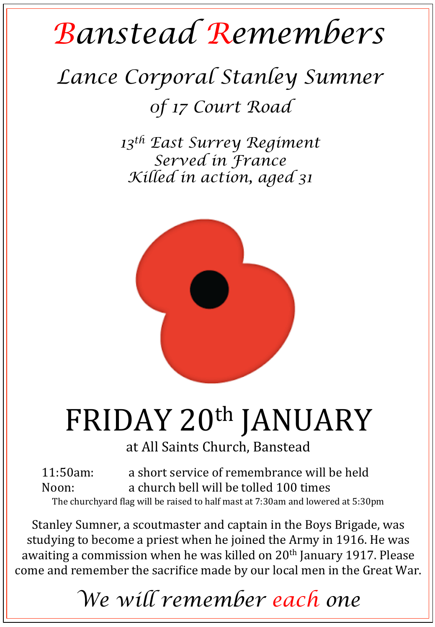## *Banstead Remembers*

## *Lance Corporal Stanley Sumner 0f 17 Court Road*

*13th East Surrey Regiment Served in France Killed in action, aged 31* 



## FRIDAY 20<sup>th</sup> JANUARY

at All Saints Church, Banstead

11:50am: a short service of remembrance will be held Noon: a church bell will be tolled 100 times The churchyard flag will be raised to half mast at 7:30am and lowered at 5:30pm

Stanley Sumner, a scoutmaster and captain in the Boys Brigade, was studying to become a priest when he joined the Army in 1916. He was awaiting a commission when he was killed on  $20<sup>th</sup>$  January 1917. Please come and remember the sacrifice made by our local men in the Great War.

*We will remember each one*